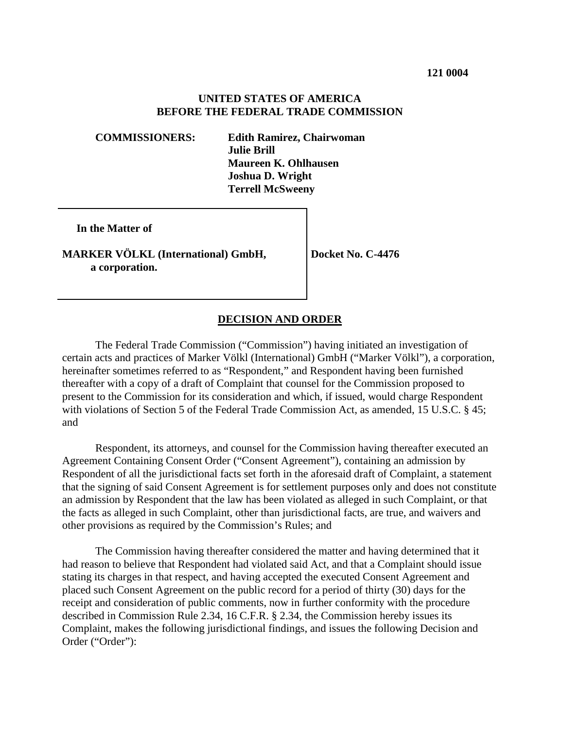### **UNITED STATES OF AMERICA BEFORE THE FEDERAL TRADE COMMISSION**

**COMMISSIONERS: Edith Ramirez, Chairwoman Julie Brill Maureen K. Ohlhausen Joshua D. Wright Terrell McSweeny**

 **In the Matter of**

**MARKER VÖLKL (International) GmbH, a corporation.**

**Docket No. C-4476**

### **DECISION AND ORDER**

The Federal Trade Commission ("Commission") having initiated an investigation of certain acts and practices of Marker Völkl (International) GmbH ("Marker Völkl"), a corporation, hereinafter sometimes referred to as "Respondent," and Respondent having been furnished thereafter with a copy of a draft of Complaint that counsel for the Commission proposed to present to the Commission for its consideration and which, if issued, would charge Respondent with violations of Section 5 of the Federal Trade Commission Act, as amended, 15 U.S.C. § 45; and

Respondent, its attorneys, and counsel for the Commission having thereafter executed an Agreement Containing Consent Order ("Consent Agreement"), containing an admission by Respondent of all the jurisdictional facts set forth in the aforesaid draft of Complaint, a statement that the signing of said Consent Agreement is for settlement purposes only and does not constitute an admission by Respondent that the law has been violated as alleged in such Complaint, or that the facts as alleged in such Complaint, other than jurisdictional facts, are true, and waivers and other provisions as required by the Commission's Rules; and

The Commission having thereafter considered the matter and having determined that it had reason to believe that Respondent had violated said Act, and that a Complaint should issue stating its charges in that respect, and having accepted the executed Consent Agreement and placed such Consent Agreement on the public record for a period of thirty (30) days for the receipt and consideration of public comments, now in further conformity with the procedure described in Commission Rule 2.34, 16 C.F.R. § 2.34, the Commission hereby issues its Complaint, makes the following jurisdictional findings, and issues the following Decision and Order ("Order"):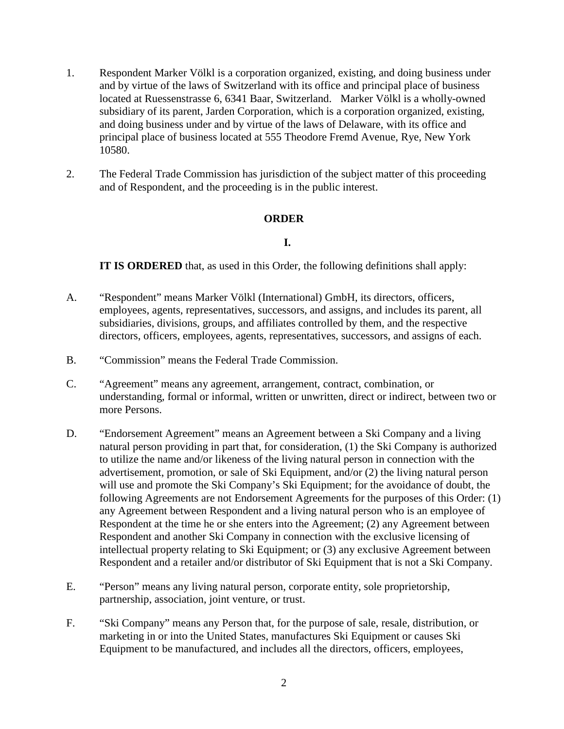- 1. Respondent Marker Völkl is a corporation organized, existing, and doing business under and by virtue of the laws of Switzerland with its office and principal place of business located at Ruessenstrasse 6, 6341 Baar, Switzerland. Marker Völkl is a wholly-owned subsidiary of its parent, Jarden Corporation, which is a corporation organized, existing, and doing business under and by virtue of the laws of Delaware, with its office and principal place of business located at 555 Theodore Fremd Avenue, Rye, New York 10580.
- 2. The Federal Trade Commission has jurisdiction of the subject matter of this proceeding and of Respondent, and the proceeding is in the public interest.

### **ORDER**

### **I.**

**IT IS ORDERED** that, as used in this Order, the following definitions shall apply:

- A. "Respondent" means Marker Völkl (International) GmbH, its directors, officers, employees, agents, representatives, successors, and assigns, and includes its parent, all subsidiaries, divisions, groups, and affiliates controlled by them, and the respective directors, officers, employees, agents, representatives, successors, and assigns of each.
- B. "Commission" means the Federal Trade Commission.
- C. "Agreement" means any agreement, arrangement, contract, combination, or understanding, formal or informal, written or unwritten, direct or indirect, between two or more Persons.
- D. "Endorsement Agreement" means an Agreement between a Ski Company and a living natural person providing in part that, for consideration, (1) the Ski Company is authorized to utilize the name and/or likeness of the living natural person in connection with the advertisement, promotion, or sale of Ski Equipment, and/or (2) the living natural person will use and promote the Ski Company's Ski Equipment; for the avoidance of doubt, the following Agreements are not Endorsement Agreements for the purposes of this Order: (1) any Agreement between Respondent and a living natural person who is an employee of Respondent at the time he or she enters into the Agreement; (2) any Agreement between Respondent and another Ski Company in connection with the exclusive licensing of intellectual property relating to Ski Equipment; or (3) any exclusive Agreement between Respondent and a retailer and/or distributor of Ski Equipment that is not a Ski Company.
- E. "Person" means any living natural person, corporate entity, sole proprietorship, partnership, association, joint venture, or trust.
- F. "Ski Company" means any Person that, for the purpose of sale, resale, distribution, or marketing in or into the United States, manufactures Ski Equipment or causes Ski Equipment to be manufactured, and includes all the directors, officers, employees,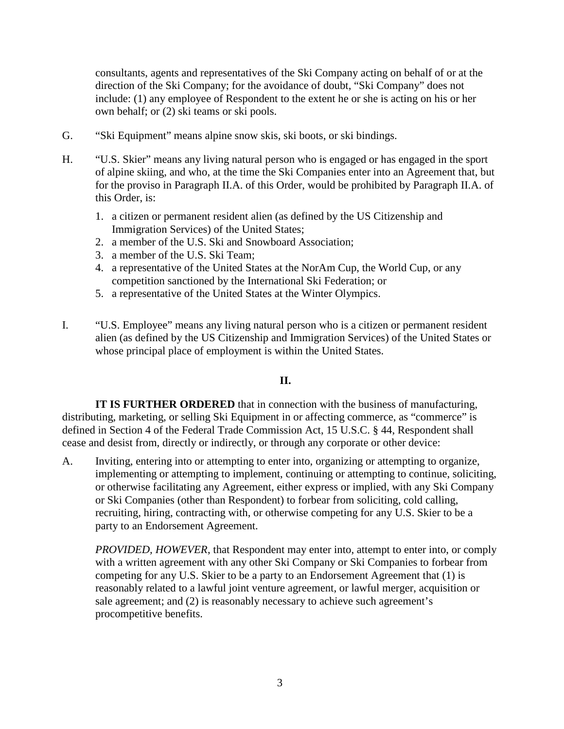consultants, agents and representatives of the Ski Company acting on behalf of or at the direction of the Ski Company; for the avoidance of doubt, "Ski Company" does not include: (1) any employee of Respondent to the extent he or she is acting on his or her own behalf; or (2) ski teams or ski pools.

- G. "Ski Equipment" means alpine snow skis, ski boots, or ski bindings.
- H. "U.S. Skier" means any living natural person who is engaged or has engaged in the sport of alpine skiing, and who, at the time the Ski Companies enter into an Agreement that, but for the proviso in Paragraph II.A. of this Order, would be prohibited by Paragraph II.A. of this Order, is:
	- 1. a citizen or permanent resident alien (as defined by the US Citizenship and Immigration Services) of the United States;
	- 2. a member of the U.S. Ski and Snowboard Association;
	- 3. a member of the U.S. Ski Team;
	- 4. a representative of the United States at the NorAm Cup, the World Cup, or any competition sanctioned by the International Ski Federation; or
	- 5. a representative of the United States at the Winter Olympics.
- I. "U.S. Employee" means any living natural person who is a citizen or permanent resident alien (as defined by the US Citizenship and Immigration Services) of the United States or whose principal place of employment is within the United States.

# **II.**

**IT IS FURTHER ORDERED** that in connection with the business of manufacturing, distributing, marketing, or selling Ski Equipment in or affecting commerce, as "commerce" is defined in Section 4 of the Federal Trade Commission Act, 15 U.S.C. § 44, Respondent shall cease and desist from, directly or indirectly, or through any corporate or other device:

A. Inviting, entering into or attempting to enter into, organizing or attempting to organize, implementing or attempting to implement, continuing or attempting to continue, soliciting, or otherwise facilitating any Agreement, either express or implied, with any Ski Company or Ski Companies (other than Respondent) to forbear from soliciting, cold calling, recruiting, hiring, contracting with, or otherwise competing for any U.S. Skier to be a party to an Endorsement Agreement.

*PROVIDED, HOWEVER*, that Respondent may enter into, attempt to enter into, or comply with a written agreement with any other Ski Company or Ski Companies to forbear from competing for any U.S. Skier to be a party to an Endorsement Agreement that (1) is reasonably related to a lawful joint venture agreement, or lawful merger, acquisition or sale agreement; and (2) is reasonably necessary to achieve such agreement's procompetitive benefits.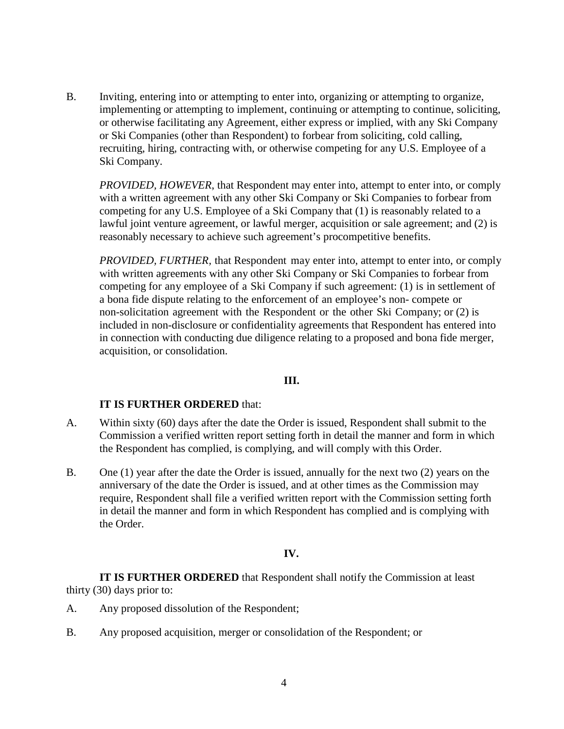B. Inviting, entering into or attempting to enter into, organizing or attempting to organize, implementing or attempting to implement, continuing or attempting to continue, soliciting, or otherwise facilitating any Agreement, either express or implied, with any Ski Company or Ski Companies (other than Respondent) to forbear from soliciting, cold calling, recruiting, hiring, contracting with, or otherwise competing for any U.S. Employee of a Ski Company.

*PROVIDED, HOWEVER*, that Respondent may enter into, attempt to enter into, or comply with a written agreement with any other Ski Company or Ski Companies to forbear from competing for any U.S. Employee of a Ski Company that (1) is reasonably related to a lawful joint venture agreement, or lawful merger, acquisition or sale agreement; and (2) is reasonably necessary to achieve such agreement's procompetitive benefits.

*PROVIDED, FURTHER,* that Respondent may enter into, attempt to enter into, or comply with written agreements with any other Ski Company or Ski Companies to forbear from competing for any employee of a Ski Company if such agreement: (1) is in settlement of a bona fide dispute relating to the enforcement of an employee's non- compete or non-solicitation agreement with the Respondent or the other Ski Company; or (2) is included in non-disclosure or confidentiality agreements that Respondent has entered into in connection with conducting due diligence relating to a proposed and bona fide merger, acquisition, or consolidation.

### **III.**

#### **IT IS FURTHER ORDERED** that:

- A. Within sixty (60) days after the date the Order is issued, Respondent shall submit to the Commission a verified written report setting forth in detail the manner and form in which the Respondent has complied, is complying, and will comply with this Order.
- B. One (1) year after the date the Order is issued, annually for the next two (2) years on the anniversary of the date the Order is issued, and at other times as the Commission may require, Respondent shall file a verified written report with the Commission setting forth in detail the manner and form in which Respondent has complied and is complying with the Order.

#### **IV.**

**IT IS FURTHER ORDERED** that Respondent shall notify the Commission at least thirty (30) days prior to:

- A. Any proposed dissolution of the Respondent;
- B. Any proposed acquisition, merger or consolidation of the Respondent; or